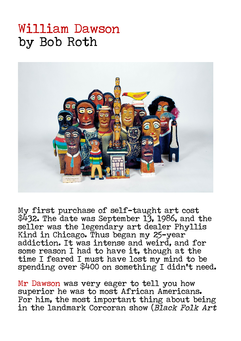## William Dawson by Bob Roth



My first purchase of self-taught art cost \$432. The date was September 13, 1986, and the seller was the legendary art dealer Phyllis Kind in Chicago. Thus began my 25-year addiction. It was intense and weird, and for some reason I had to have it, though at the time I feared I must have lost my mind to be spending over \$400 on something I didn't need.

Mr Dawson was very eager to tell you how superior he was to most African Americans. For him, the most important thing about being in the landmark Corcoran show (Black Folk Art